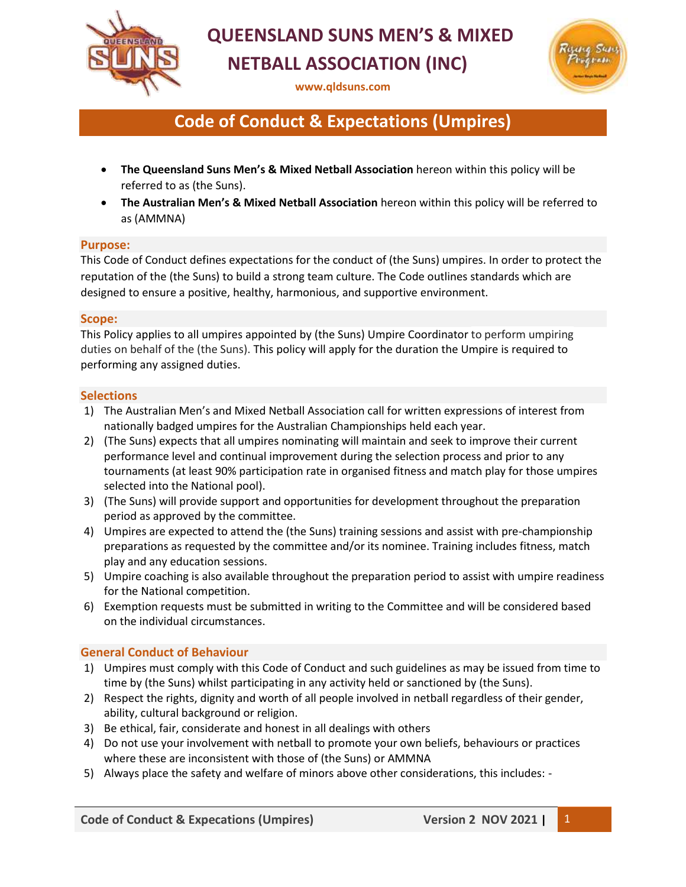

# **QUEENSLAND SUNS MEN'S & MIXED NETBALL ASSOCIATION (INC)**

**[www.qldsuns.com](http://www.qldsuns.com/)**



## **Code of Conduct & Expectations (Umpires)**

- **The Queensland Suns Men's & Mixed Netball Association** hereon within this policy will be referred to as (the Suns).
- **The Australian Men's & Mixed Netball Association** hereon within this policy will be referred to as (AMMNA)

#### **Purpose:**

This Code of Conduct defines expectations for the conduct of (the Suns) umpires. In order to protect the reputation of the (the Suns) to build a strong team culture. The Code outlines standards which are designed to ensure a positive, healthy, harmonious, and supportive environment.

#### **Scope:**

This Policy applies to all umpires appointed by (the Suns) Umpire Coordinator to perform umpiring duties on behalf of the (the Suns). This policy will apply for the duration the Umpire is required to performing any assigned duties.

#### **Selections**

- 1) The Australian Men's and Mixed Netball Association call for written expressions of interest from nationally badged umpires for the Australian Championships held each year.
- 2) (The Suns) expects that all umpires nominating will maintain and seek to improve their current performance level and continual improvement during the selection process and prior to any tournaments (at least 90% participation rate in organised fitness and match play for those umpires selected into the National pool).
- 3) (The Suns) will provide support and opportunities for development throughout the preparation period as approved by the committee.
- 4) Umpires are expected to attend the (the Suns) training sessions and assist with pre-championship preparations as requested by the committee and/or its nominee. Training includes fitness, match play and any education sessions.
- 5) Umpire coaching is also available throughout the preparation period to assist with umpire readiness for the National competition.
- 6) Exemption requests must be submitted in writing to the Committee and will be considered based on the individual circumstances.

### **General Conduct of Behaviour**

- 1) Umpires must comply with this Code of Conduct and such guidelines as may be issued from time to time by (the Suns) whilst participating in any activity held or sanctioned by (the Suns).
- 2) Respect the rights, dignity and worth of all people involved in netball regardless of their gender, ability, cultural background or religion.
- 3) Be ethical, fair, considerate and honest in all dealings with others
- 4) Do not use your involvement with netball to promote your own beliefs, behaviours or practices where these are inconsistent with those of (the Suns) or AMMNA
- 5) Always place the safety and welfare of minors above other considerations, this includes: -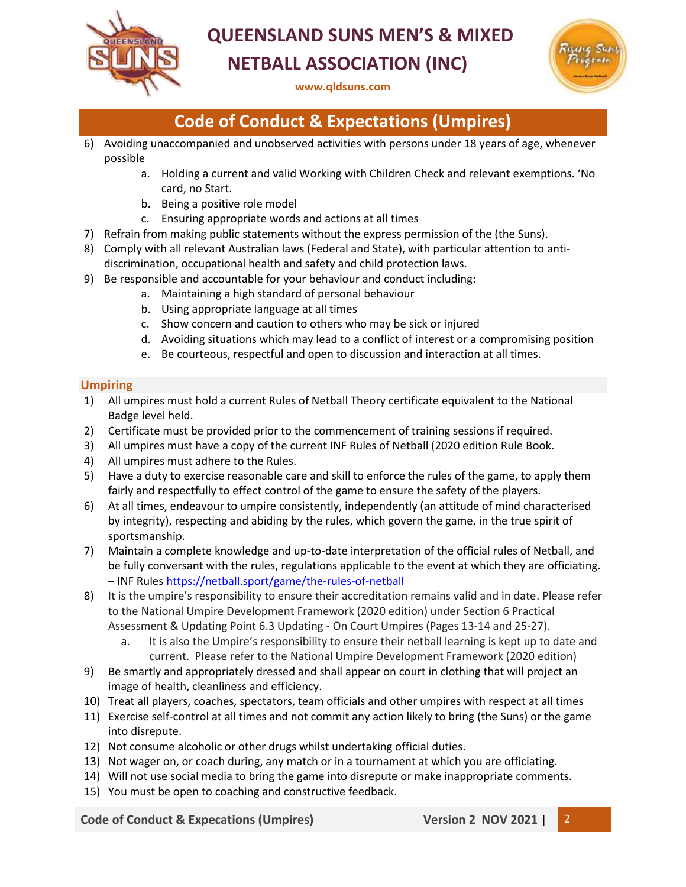

# **QUEENSLAND SUNS MEN'S & MIXED NETBALL ASSOCIATION (INC)**



**[www.qldsuns.com](http://www.qldsuns.com/)**

## **Code of Conduct & Expectations (Umpires)**

- 6) Avoiding unaccompanied and unobserved activities with persons under 18 years of age, whenever possible
	- a. Holding a current and valid Working with Children Check and relevant exemptions. 'No card, no Start.
	- b. Being a positive role model
	- c. Ensuring appropriate words and actions at all times
- 7) Refrain from making public statements without the express permission of the (the Suns).
- 8) Comply with all relevant Australian laws (Federal and State), with particular attention to antidiscrimination, occupational health and safety and child protection laws.
- 9) Be responsible and accountable for your behaviour and conduct including:
	- a. Maintaining a high standard of personal behaviour
	- b. Using appropriate language at all times
	- c. Show concern and caution to others who may be sick or injured
	- d. Avoiding situations which may lead to a conflict of interest or a compromising position
	- e. Be courteous, respectful and open to discussion and interaction at all times.

### **Umpiring**

- 1) All umpires must hold a current Rules of Netball Theory certificate equivalent to the National Badge level held.
- 2) Certificate must be provided prior to the commencement of training sessions if required.
- 3) All umpires must have a copy of the current INF Rules of Netball (2020 edition Rule Book.
- 4) All umpires must adhere to the Rules.
- 5) Have a duty to exercise reasonable care and skill to enforce the rules of the game, to apply them fairly and respectfully to effect control of the game to ensure the safety of the players.
- 6) At all times, endeavour to umpire consistently, independently (an attitude of mind characterised by integrity), respecting and abiding by the rules, which govern the game, in the true spirit of sportsmanship.
- 7) Maintain a complete knowledge and up-to-date interpretation of the official rules of Netball, and be fully conversant with the rules, regulations applicable to the event at which they are officiating. – INF Rule[s https://netball.sport/game/the-rules-of-netball](https://netball.sport/game/the-rules-of-netball)
- 8) It is the umpire's responsibility to ensure their accreditation remains valid and in date. Please refer to the National Umpire Development Framework (2020 edition) under Section 6 Practical Assessment & Updating Point 6.3 Updating - On Court Umpires (Pages 13-14 and 25-27).
	- a. It is also the Umpire's responsibility to ensure their netball learning is kept up to date and current. Please refer to the National Umpire Development Framework (2020 edition)
- 9) Be smartly and appropriately dressed and shall appear on court in clothing that will project an image of health, cleanliness and efficiency.
- 10) Treat all players, coaches, spectators, team officials and other umpires with respect at all times
- 11) Exercise self-control at all times and not commit any action likely to bring (the Suns) or the game into disrepute.
- 12) Not consume alcoholic or other drugs whilst undertaking official duties.
- 13) Not wager on, or coach during, any match or in a tournament at which you are officiating.
- 14) Will not use social media to bring the game into disrepute or make inappropriate comments.
- 15) You must be open to coaching and constructive feedback.

**Code of Conduct & Expecations (Umpires) Version 2 NOV 2021 |** 2